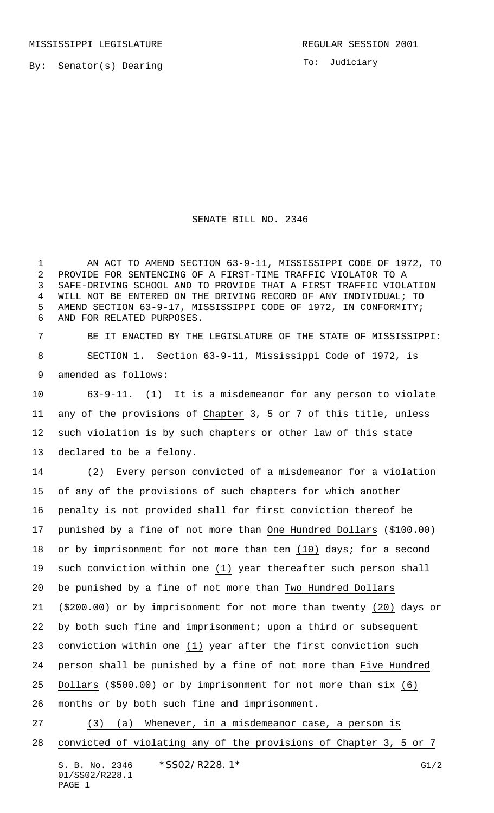By: Senator(s) Dearing

To: Judiciary

## SENATE BILL NO. 2346

 AN ACT TO AMEND SECTION 63-9-11, MISSISSIPPI CODE OF 1972, TO PROVIDE FOR SENTENCING OF A FIRST-TIME TRAFFIC VIOLATOR TO A SAFE-DRIVING SCHOOL AND TO PROVIDE THAT A FIRST TRAFFIC VIOLATION WILL NOT BE ENTERED ON THE DRIVING RECORD OF ANY INDIVIDUAL; TO AMEND SECTION 63-9-17, MISSISSIPPI CODE OF 1972, IN CONFORMITY; AND FOR RELATED PURPOSES.

 BE IT ENACTED BY THE LEGISLATURE OF THE STATE OF MISSISSIPPI: SECTION 1. Section 63-9-11, Mississippi Code of 1972, is amended as follows:

 63-9-11. (1) It is a misdemeanor for any person to violate any of the provisions of Chapter 3, 5 or 7 of this title, unless such violation is by such chapters or other law of this state declared to be a felony.

 (2) Every person convicted of a misdemeanor for a violation of any of the provisions of such chapters for which another penalty is not provided shall for first conviction thereof be punished by a fine of not more than One Hundred Dollars (\$100.00) 18 or by imprisonment for not more than ten  $(10)$  days; for a second such conviction within one (1) year thereafter such person shall be punished by a fine of not more than Two Hundred Dollars (\$200.00) or by imprisonment for not more than twenty (20) days or by both such fine and imprisonment; upon a third or subsequent conviction within one (1) year after the first conviction such person shall be punished by a fine of not more than Five Hundred Dollars (\$500.00) or by imprisonment for not more than six (6) months or by both such fine and imprisonment.

 (3) (a) Whenever, in a misdemeanor case, a person is convicted of violating any of the provisions of Chapter 3, 5 or 7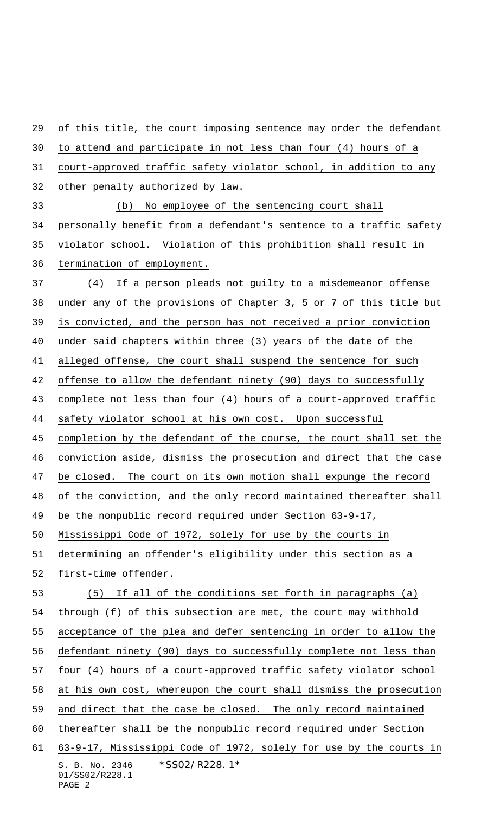S. B. No. 2346 \* SS02/R228.1\* 01/SS02/R228.1 of this title, the court imposing sentence may order the defendant to attend and participate in not less than four (4) hours of a court-approved traffic safety violator school, in addition to any other penalty authorized by law. (b) No employee of the sentencing court shall personally benefit from a defendant's sentence to a traffic safety violator school. Violation of this prohibition shall result in termination of employment. (4) If a person pleads not guilty to a misdemeanor offense under any of the provisions of Chapter 3, 5 or 7 of this title but is convicted, and the person has not received a prior conviction under said chapters within three (3) years of the date of the alleged offense, the court shall suspend the sentence for such offense to allow the defendant ninety (90) days to successfully complete not less than four (4) hours of a court-approved traffic safety violator school at his own cost. Upon successful completion by the defendant of the course, the court shall set the conviction aside, dismiss the prosecution and direct that the case be closed. The court on its own motion shall expunge the record of the conviction, and the only record maintained thereafter shall be the nonpublic record required under Section 63-9-17, Mississippi Code of 1972, solely for use by the courts in determining an offender's eligibility under this section as a first-time offender. (5) If all of the conditions set forth in paragraphs (a) through (f) of this subsection are met, the court may withhold acceptance of the plea and defer sentencing in order to allow the defendant ninety (90) days to successfully complete not less than four (4) hours of a court-approved traffic safety violator school at his own cost, whereupon the court shall dismiss the prosecution and direct that the case be closed. The only record maintained thereafter shall be the nonpublic record required under Section 63-9-17, Mississippi Code of 1972, solely for use by the courts in

PAGE 2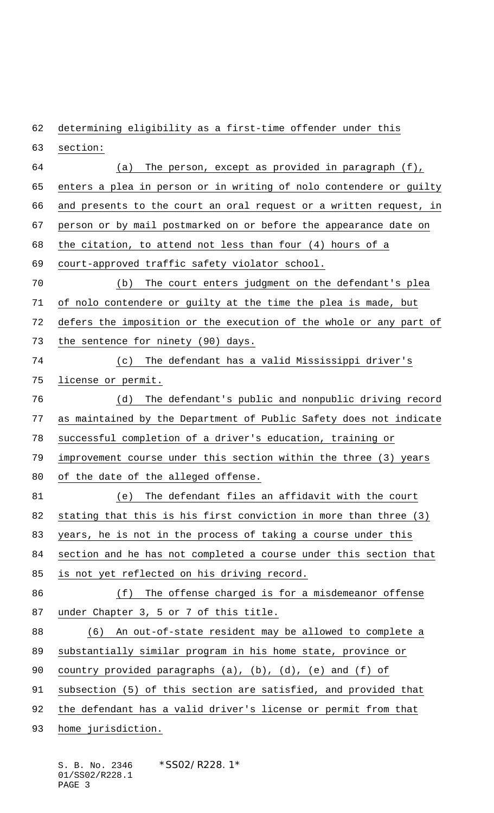determining eligibility as a first-time offender under this

 section: (a) The person, except as provided in paragraph (f), 65 enters a plea in person or in writing of nolo contendere or guilty and presents to the court an oral request or a written request, in person or by mail postmarked on or before the appearance date on the citation, to attend not less than four (4) hours of a court-approved traffic safety violator school. (b) The court enters judgment on the defendant's plea of nolo contendere or guilty at the time the plea is made, but defers the imposition or the execution of the whole or any part of the sentence for ninety (90) days. (c) The defendant has a valid Mississippi driver's license or permit. (d) The defendant's public and nonpublic driving record as maintained by the Department of Public Safety does not indicate successful completion of a driver's education, training or 79 improvement course under this section within the three (3) years of the date of the alleged offense. (e) The defendant files an affidavit with the court stating that this is his first conviction in more than three (3) years, he is not in the process of taking a course under this section and he has not completed a course under this section that is not yet reflected on his driving record. (f) The offense charged is for a misdemeanor offense 87 under Chapter 3, 5 or 7 of this title. (6) An out-of-state resident may be allowed to complete a substantially similar program in his home state, province or country provided paragraphs (a), (b), (d), (e) and (f) of subsection (5) of this section are satisfied, and provided that the defendant has a valid driver's license or permit from that 93 home jurisdiction.

S. B. No. 2346 \* SS02/R228.1\* 01/SS02/R228.1 PAGE 3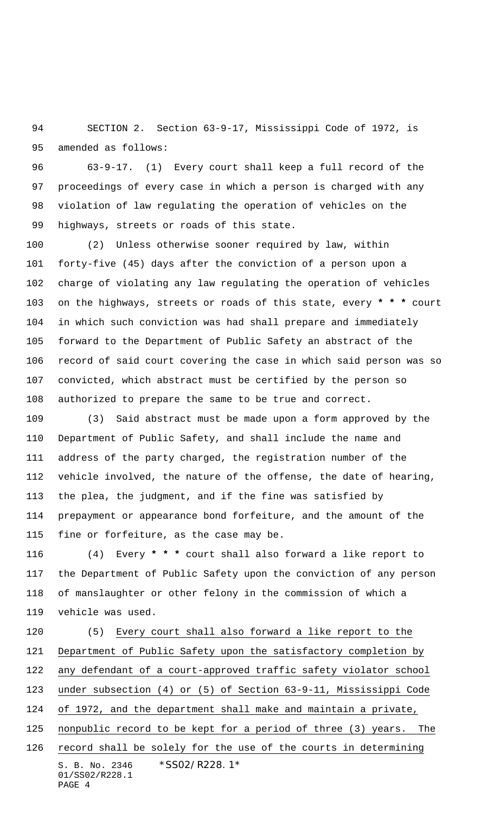SECTION 2. Section 63-9-17, Mississippi Code of 1972, is amended as follows:

 63-9-17. (1) Every court shall keep a full record of the proceedings of every case in which a person is charged with any violation of law regulating the operation of vehicles on the highways, streets or roads of this state.

 (2) Unless otherwise sooner required by law, within forty-five (45) days after the conviction of a person upon a charge of violating any law regulating the operation of vehicles on the highways, streets or roads of this state, every **\* \* \*** court in which such conviction was had shall prepare and immediately forward to the Department of Public Safety an abstract of the record of said court covering the case in which said person was so convicted, which abstract must be certified by the person so authorized to prepare the same to be true and correct.

 (3) Said abstract must be made upon a form approved by the Department of Public Safety, and shall include the name and address of the party charged, the registration number of the vehicle involved, the nature of the offense, the date of hearing, the plea, the judgment, and if the fine was satisfied by prepayment or appearance bond forfeiture, and the amount of the fine or forfeiture, as the case may be.

 (4) Every **\* \* \*** court shall also forward a like report to the Department of Public Safety upon the conviction of any person of manslaughter or other felony in the commission of which a vehicle was used.

S. B. No. 2346 \* SS02/R228.1\* 01/SS02/R228.1 PAGE 4 (5) Every court shall also forward a like report to the Department of Public Safety upon the satisfactory completion by any defendant of a court-approved traffic safety violator school under subsection (4) or (5) of Section 63-9-11, Mississippi Code of 1972, and the department shall make and maintain a private, nonpublic record to be kept for a period of three (3) years. The 126 record shall be solely for the use of the courts in determining